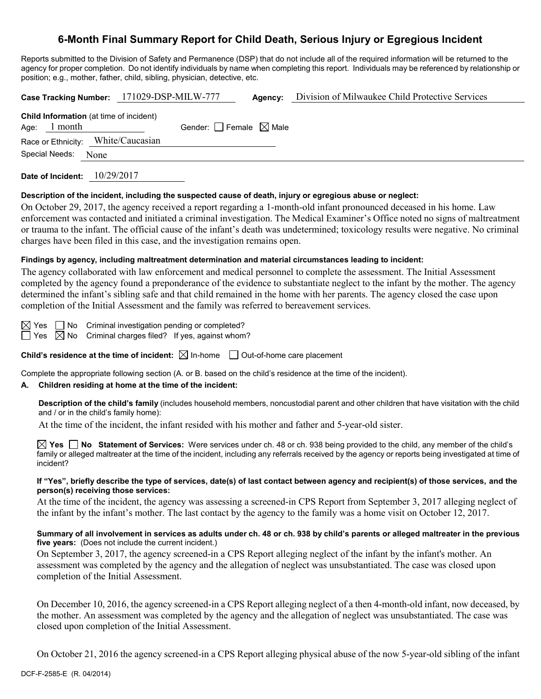# **6-Month Final Summary Report for Child Death, Serious Injury or Egregious Incident**

Reports submitted to the Division of Safety and Permanence (DSP) that do not include all of the required information will be returned to the agency for proper completion. Do not identify individuals by name when completing this report. Individuals may be referenced by relationship or position; e.g., mother, father, child, sibling, physician, detective, etc.

|                                                | Case Tracking Number: 171029-DSP-MILW-777 | Agency: | Division of Milwaukee Child Protective Services |
|------------------------------------------------|-------------------------------------------|---------|-------------------------------------------------|
| <b>Child Information</b> (at time of incident) |                                           |         |                                                 |
| Age: $1$ month                                 | Gender: Female $\boxtimes$ Male           |         |                                                 |
| Race or Ethnicity: White/Caucasian             |                                           |         |                                                 |
| Special Needs: None                            |                                           |         |                                                 |
| Date of Incident:                              | 10/29/2017                                |         |                                                 |

# **Description of the incident, including the suspected cause of death, injury or egregious abuse or neglect:**

On October 29, 2017, the agency received a report regarding a 1-month-old infant pronounced deceased in his home. Law enforcement was contacted and initiated a criminal investigation. The Medical Examiner's Office noted no signs of maltreatment or trauma to the infant. The official cause of the infant's death was undetermined; toxicology results were negative. No criminal charges have been filed in this case, and the investigation remains open.

## **Findings by agency, including maltreatment determination and material circumstances leading to incident:**

The agency collaborated with law enforcement and medical personnel to complete the assessment. The Initial Assessment completed by the agency found a preponderance of the evidence to substantiate neglect to the infant by the mother. The agency determined the infant's sibling safe and that child remained in the home with her parents. The agency closed the case upon completion of the Initial Assessment and the family was referred to bereavement services.

 $\boxtimes$  Yes  $\Box$  No Criminal investigation pending or completed?

 $\Box$  Yes  $\boxtimes$  No Criminal charges filed? If yes, against whom?

**Child's residence at the time of incident:**  $\boxtimes$  In-home  $\Box$  Out-of-home care placement

Complete the appropriate following section (A. or B. based on the child's residence at the time of the incident).

### **A. Children residing at home at the time of the incident:**

**Description of the child's family** (includes household members, noncustodial parent and other children that have visitation with the child and / or in the child's family home):

At the time of the incident, the infant resided with his mother and father and 5-year-old sister.

**Yes No Statement of Services:** Were services under ch. 48 or ch. 938 being provided to the child, any member of the child's family or alleged maltreater at the time of the incident, including any referrals received by the agency or reports being investigated at time of incident?

#### **If "Yes", briefly describe the type of services, date(s) of last contact between agency and recipient(s) of those services, and the person(s) receiving those services:**

At the time of the incident, the agency was assessing a screened-in CPS Report from September 3, 2017 alleging neglect of the infant by the infant's mother. The last contact by the agency to the family was a home visit on October 12, 2017.

### **Summary of all involvement in services as adults under ch. 48 or ch. 938 by child's parents or alleged maltreater in the previous five years:** (Does not include the current incident.)

On September 3, 2017, the agency screened-in a CPS Report alleging neglect of the infant by the infant's mother. An assessment was completed by the agency and the allegation of neglect was unsubstantiated. The case was closed upon completion of the Initial Assessment.

On December 10, 2016, the agency screened-in a CPS Report alleging neglect of a then 4-month-old infant, now deceased, by the mother. An assessment was completed by the agency and the allegation of neglect was unsubstantiated. The case was closed upon completion of the Initial Assessment.

On October 21, 2016 the agency screened-in a CPS Report alleging physical abuse of the now 5-year-old sibling of the infant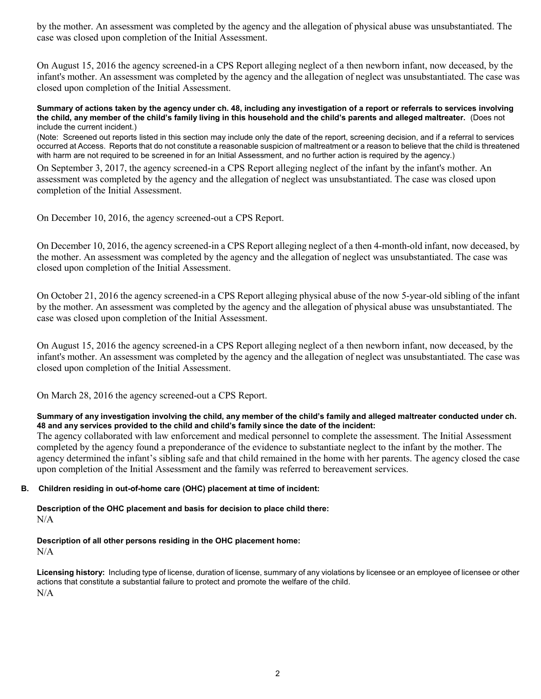by the mother. An assessment was completed by the agency and the allegation of physical abuse was unsubstantiated. The case was closed upon completion of the Initial Assessment.

On August 15, 2016 the agency screened-in a CPS Report alleging neglect of a then newborn infant, now deceased, by the infant's mother. An assessment was completed by the agency and the allegation of neglect was unsubstantiated. The case was closed upon completion of the Initial Assessment.

#### **Summary of actions taken by the agency under ch. 48, including any investigation of a report or referrals to services involving the child, any member of the child's family living in this household and the child's parents and alleged maltreater.** (Does not include the current incident.)

(Note: Screened out reports listed in this section may include only the date of the report, screening decision, and if a referral to services occurred at Access. Reports that do not constitute a reasonable suspicion of maltreatment or a reason to believe that the child is threatened with harm are not required to be screened in for an Initial Assessment, and no further action is required by the agency.)

On September 3, 2017, the agency screened-in a CPS Report alleging neglect of the infant by the infant's mother. An assessment was completed by the agency and the allegation of neglect was unsubstantiated. The case was closed upon completion of the Initial Assessment.

On December 10, 2016, the agency screened-out a CPS Report.

On December 10, 2016, the agency screened-in a CPS Report alleging neglect of a then 4-month-old infant, now deceased, by the mother. An assessment was completed by the agency and the allegation of neglect was unsubstantiated. The case was closed upon completion of the Initial Assessment.

On October 21, 2016 the agency screened-in a CPS Report alleging physical abuse of the now 5-year-old sibling of the infant by the mother. An assessment was completed by the agency and the allegation of physical abuse was unsubstantiated. The case was closed upon completion of the Initial Assessment.

On August 15, 2016 the agency screened-in a CPS Report alleging neglect of a then newborn infant, now deceased, by the infant's mother. An assessment was completed by the agency and the allegation of neglect was unsubstantiated. The case was closed upon completion of the Initial Assessment.

On March 28, 2016 the agency screened-out a CPS Report.

### **Summary of any investigation involving the child, any member of the child's family and alleged maltreater conducted under ch. 48 and any services provided to the child and child's family since the date of the incident:**

The agency collaborated with law enforcement and medical personnel to complete the assessment. The Initial Assessment completed by the agency found a preponderance of the evidence to substantiate neglect to the infant by the mother. The agency determined the infant's sibling safe and that child remained in the home with her parents. The agency closed the case upon completion of the Initial Assessment and the family was referred to bereavement services.

# **B. Children residing in out-of-home care (OHC) placement at time of incident:**

**Description of the OHC placement and basis for decision to place child there:** N/A

# **Description of all other persons residing in the OHC placement home:**

 $N/A$ 

**Licensing history:** Including type of license, duration of license, summary of any violations by licensee or an employee of licensee or other actions that constitute a substantial failure to protect and promote the welfare of the child. N/A